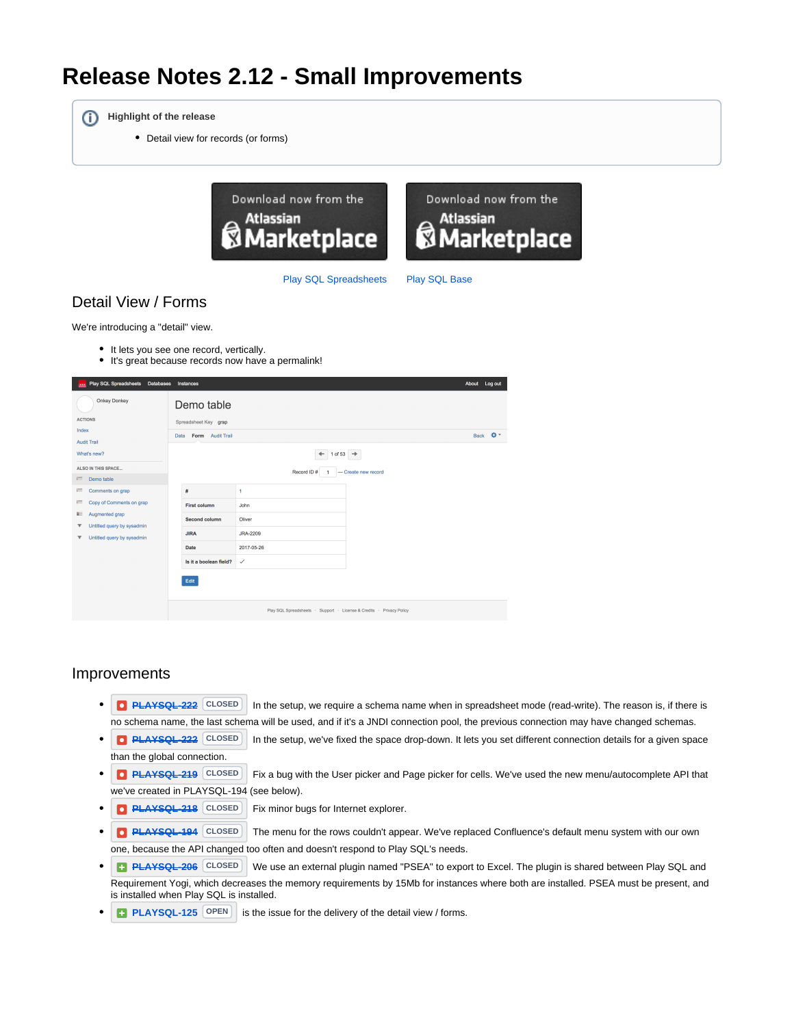# **Release Notes 2.12 - Small Improvements**

ത **Highlight of the release**

Detail view for records (or forms)



[Play SQL Spreadsheets](https://marketplace.atlassian.com/plugins/com.playsql.playsql-plugin) [Play SQL Base](https://marketplace.atlassian.com/plugins/com.playsql.playsql-base-plugin)

# Detail View / Forms

We're introducing a "detail" view.

- It lets you see one record, vertically.
- It's great because records now have a permalink!

| Play SQL Spreadsheets Databases                                                                                | Instances                                                      |                                                                      |                     | About Log out |    |
|----------------------------------------------------------------------------------------------------------------|----------------------------------------------------------------|----------------------------------------------------------------------|---------------------|---------------|----|
| <b>Onkey Donkey</b><br><b>ACTIONS</b><br>Index<br><b>Audit Trail</b><br>What's new?<br>ALSO IN THIS SPACE      | Demo table<br>Spreadsheet Key grap<br>Form Audit Trail<br>Data | 1 of 53 $\rightarrow$<br>$\leftarrow$<br>Record ID#                  | - Create new record | Back          | o- |
| Demo table<br>Г.                                                                                               |                                                                |                                                                      |                     |               |    |
| Comments on grap<br>г                                                                                          | #                                                              | $\mathbf{1}$                                                         |                     |               |    |
| <b>TT</b><br>Copy of Comments on grap                                                                          | <b>First column</b>                                            | John                                                                 |                     |               |    |
| Augmented grap<br>ii i                                                                                         | Second column                                                  | Oliver                                                               |                     |               |    |
| Untitled query by sysadmin<br>$\overline{\mathbf{Y}}$<br>Untitled query by sysadmin<br>$\overline{\mathbf{r}}$ | <b>JIRA</b>                                                    | JRA-2209                                                             |                     |               |    |
|                                                                                                                | <b>Date</b>                                                    | 2017-05-26                                                           |                     |               |    |
|                                                                                                                | Is it a boolean field?                                         | $\checkmark$                                                         |                     |               |    |
|                                                                                                                | Edit                                                           | Play SQL Spreadsheets · Support · License & Credits · Privacy Policy |                     |               |    |

#### Improvements

- **[PLAYSQL-222](https://requirementyogi.atlassian.net/browse/PLAYSQL-222)** CLOSED In the setup, we require a schema name when in spreadsheet mode (read-write). The reason is, if there is no schema name, the last schema will be used, and if it's a JNDI connection pool, the previous connection may have changed schemas.
- **[PLAYSQL-222](https://requirementyogi.atlassian.net/browse/PLAYSQL-222)** CLOSED In the setup, we've fixed the space drop-down. It lets you set different connection details for a given space than the global connection.
- **[PLAYSQL-219](https://requirementyogi.atlassian.net/browse/PLAYSQL-219)** CLOSED Fix a bug with the User picker and Page picker for cells. We've used the new menu/autocomplete API that we've created in PLAYSQL-194 (see below).
- **[PLAYSQL-218](https://requirementyogi.atlassian.net/browse/PLAYSQL-218) CLOSED** Fix minor bugs for Internet explorer.
- **[PLAYSQL-194](https://requirementyogi.atlassian.net/browse/PLAYSQL-194)** CLOSED The menu for the rows couldn't appear. We've replaced Confluence's default menu system with our own one, because the API changed too often and doesn't respond to Play SQL's needs.
- **[PLAYSQL-206](https://requirementyogi.atlassian.net/browse/PLAYSQL-206)** CLOSED We use an external plugin named "PSEA" to export to Excel. The plugin is shared between Play SQL and Requirement Yogi, which decreases the memory requirements by 15Mb for instances where both are installed. PSEA must be present, and is installed when Play SQL is installed.
- **[PLAYSQL-125](https://requirementyogi.atlassian.net/browse/PLAYSQL-125)**  $\boxed{OPEN}$  is the issue for the delivery of the detail view / forms.